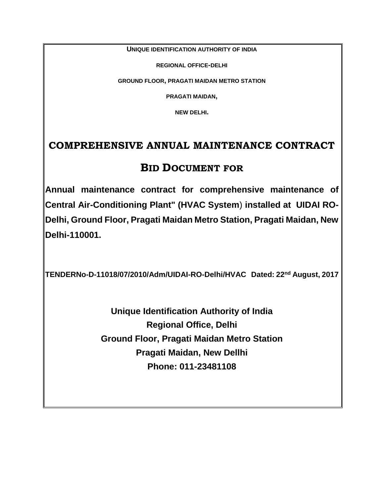**UNIQUE IDENTIFICATION AUTHORITY OF INDIA**

**REGIONAL OFFICE-DELHI**

**GROUND FLOOR, PRAGATI MAIDAN METRO STATION**

**PRAGATI MAIDAN,**

**NEW DELHI.**

# **COMPREHENSIVE ANNUAL MAINTENANCE CONTRACT**

# **BID DOCUMENT FOR**

**Annual maintenance contract for comprehensive maintenance of Central Air-Conditioning Plant" (HVAC System**) **installed at UIDAI RO-Delhi, Ground Floor, Pragati Maidan Metro Station, Pragati Maidan, New Delhi-110001.**

**TENDERNo-D-11018/07/2010/Adm/UIDAI-RO-Delhi/HVAC Dated: 22nd August, 2017**

**Unique Identification Authority of India Regional Office, Delhi Ground Floor, Pragati Maidan Metro Station Pragati Maidan, New Dellhi Phone: 011-23481108**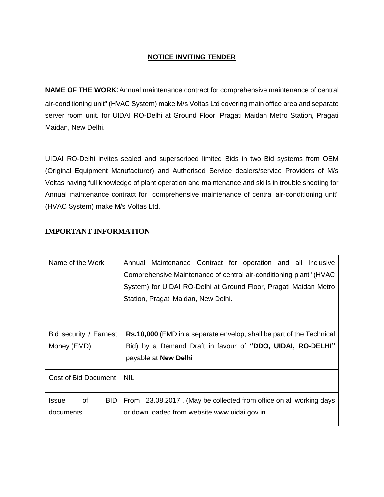# **NOTICE INVITING TENDER**

**NAME OF THE WORK:** Annual maintenance contract for comprehensive maintenance of central air-conditioning unit" (HVAC System) make M/s Voltas Ltd covering main office area and separate server room unit. for UIDAI RO-Delhi at Ground Floor, Pragati Maidan Metro Station, Pragati Maidan, New Delhi.

UIDAI RO-Delhi invites sealed and superscribed limited Bids in two Bid systems from OEM (Original Equipment Manufacturer) and Authorised Service dealers/service Providers of M/s Voltas having full knowledge of plant operation and maintenance and skills in trouble shooting for Annual maintenance contract for comprehensive maintenance of central air-conditioning unit" (HVAC System) make M/s Voltas Ltd.

| Name of the Work                        | Annual Maintenance Contract for operation and all Inclusive<br>Comprehensive Maintenance of central air-conditioning plant" (HVAC<br>System) for UIDAI RO-Delhi at Ground Floor, Pragati Maidan Metro<br>Station, Pragati Maidan, New Delhi. |  |  |
|-----------------------------------------|----------------------------------------------------------------------------------------------------------------------------------------------------------------------------------------------------------------------------------------------|--|--|
| Bid security / Earnest<br>Money (EMD)   | <b>Rs.10,000</b> (EMD in a separate envelop, shall be part of the Technical<br>Bid) by a Demand Draft in favour of "DDO, UIDAI, RO-DELHI"<br>payable at New Delhi                                                                            |  |  |
| Cost of Bid Document                    | <b>NIL</b>                                                                                                                                                                                                                                   |  |  |
| <b>Issue</b><br>οf<br>BID.<br>documents | From 23.08.2017, (May be collected from office on all working days<br>or down loaded from website www.uidai.gov.in.                                                                                                                          |  |  |

# **IMPORTANT INFORMATION**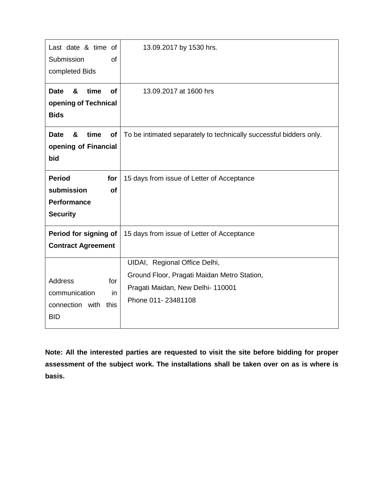| Last date & time of<br>Submission<br>0f<br>completed Bids                                    | 13.09.2017 by 1530 hrs.                                                                                                                 |
|----------------------------------------------------------------------------------------------|-----------------------------------------------------------------------------------------------------------------------------------------|
| time<br>&<br><b>of</b><br><b>Date</b><br>opening of Technical<br><b>Bids</b>                 | 13.09.2017 at 1600 hrs                                                                                                                  |
| &<br>time<br><b>Date</b><br>of<br>opening of Financial<br>bid                                | To be intimated separately to technically successful bidders only.                                                                      |
| <b>Period</b><br>for<br>submission<br><b>of</b><br><b>Performance</b><br><b>Security</b>     | 15 days from issue of Letter of Acceptance                                                                                              |
| Period for signing of<br><b>Contract Agreement</b>                                           | 15 days from issue of Letter of Acceptance                                                                                              |
| <b>Address</b><br>for<br>communication<br><i>in</i><br>connection with<br>this<br><b>BID</b> | UIDAI, Regional Office Delhi,<br>Ground Floor, Pragati Maidan Metro Station,<br>Pragati Maidan, New Delhi- 110001<br>Phone 011-23481108 |

**Note: All the interested parties are requested to visit the site before bidding for proper assessment of the subject work. The installations shall be taken over on as is where is basis.**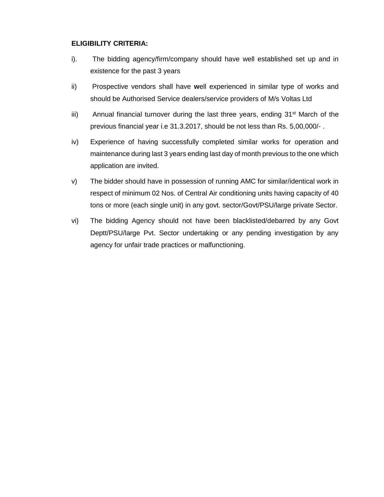### **ELIGIBILITY CRITERIA:**

- i). The bidding agency/firm/company should have well established set up and in existence for the past 3 years
- ii) Prospective vendors shall have **w**ell experienced in similar type of works and should be Authorised Service dealers/service providers of M/s Voltas Ltd
- iii) Annual financial turnover during the last three years, ending  $31^{st}$  March of the previous financial year i.e 31.3.2017, should be not less than Rs. 5,00,000/- .
- iv) Experience of having successfully completed similar works for operation and maintenance during last 3 years ending last day of month previous to the one which application are invited.
- v) The bidder should have in possession of running AMC for similar/identical work in respect of minimum 02 Nos. of Central Air conditioning units having capacity of 40 tons or more (each single unit) in any govt. sector/Govt/PSU/large private Sector.
- vi) The bidding Agency should not have been blacklisted/debarred by any Govt Deptt/PSU/large Pvt. Sector undertaking or any pending investigation by any agency for unfair trade practices or malfunctioning.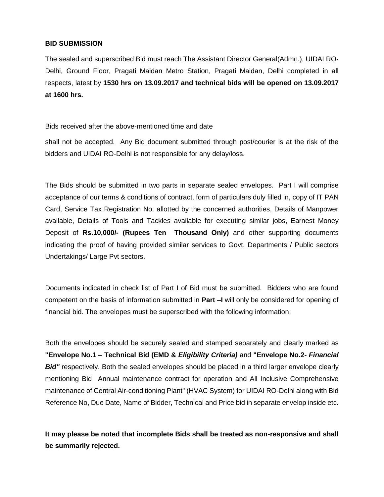#### **BID SUBMISSION**

The sealed and superscribed Bid must reach The Assistant Director General(Admn.), UIDAI RO-Delhi, Ground Floor, Pragati Maidan Metro Station, Pragati Maidan, Delhi completed in all respects, latest by **1530 hrs on 13.09.2017 and technical bids will be opened on 13.09.2017 at 1600 hrs.**

Bids received after the above-mentioned time and date

shall not be accepted. Any Bid document submitted through post/courier is at the risk of the bidders and UIDAI RO-Delhi is not responsible for any delay/loss.

The Bids should be submitted in two parts in separate sealed envelopes. Part I will comprise acceptance of our terms & conditions of contract, form of particulars duly filled in, copy of IT PAN Card, Service Tax Registration No. allotted by the concerned authorities, Details of Manpower available, Details of Tools and Tackles available for executing similar jobs, Earnest Money Deposit of **Rs.10,000/- (Rupees Ten Thousand Only)** and other supporting documents indicating the proof of having provided similar services to Govt. Departments / Public sectors Undertakings/ Large Pvt sectors.

Documents indicated in check list of Part I of Bid must be submitted. Bidders who are found competent on the basis of information submitted in **Part –I** will only be considered for opening of financial bid. The envelopes must be superscribed with the following information:

Both the envelopes should be securely sealed and stamped separately and clearly marked as **"Envelope No.1 – Technical Bid (EMD &** *Eligibility Criteria)* and **"Envelope No.2-** *Financial Bid"* respectively. Both the sealed envelopes should be placed in a third larger envelope clearly mentioning Bid Annual maintenance contract for operation and All Inclusive Comprehensive maintenance of Central Air-conditioning Plant" (HVAC System) for UIDAI RO-Delhi along with Bid Reference No, Due Date, Name of Bidder, Technical and Price bid in separate envelop inside etc.

**It may please be noted that incomplete Bids shall be treated as non-responsive and shall be summarily rejected.**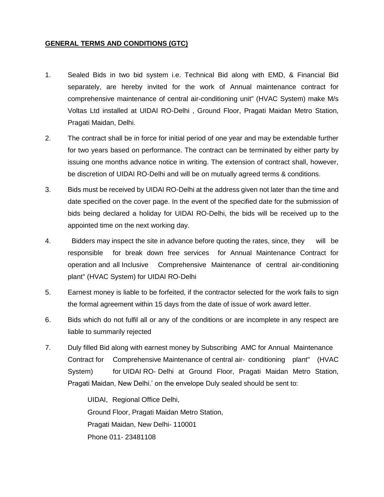### **GENERAL TERMS AND CONDITIONS (GTC)**

- 1. Sealed Bids in two bid system i.e. Technical Bid along with EMD, & Financial Bid separately, are hereby invited for the work of Annual maintenance contract for comprehensive maintenance of central air-conditioning unit" (HVAC System) make M/s Voltas Ltd installed at UIDAI RO-Delhi , Ground Floor, Pragati Maidan Metro Station, Pragati Maidan, Delhi.
- 2. The contract shall be in force for initial period of one year and may be extendable further for two years based on performance. The contract can be terminated by either party by issuing one months advance notice in writing. The extension of contract shall, however, be discretion of UIDAI RO-Delhi and will be on mutually agreed terms & conditions.
- 3. Bids must be received by UIDAI RO-Delhi at the address given not later than the time and date specified on the cover page. In the event of the specified date for the submission of bids being declared a holiday for UIDAI RO-Delhi, the bids will be received up to the appointed time on the next working day.
- 4. Bidders may inspect the site in advance before quoting the rates, since, they will be responsible for break down free services for Annual Maintenance Contract for operation and all Inclusive Comprehensive Maintenance of central air-conditioning plant" (HVAC System) for UIDAI RO-Delhi
- 5. Earnest money is liable to be forfeited, if the contractor selected for the work fails to sign the formal agreement within 15 days from the date of issue of work award letter.
- 6. Bids which do not fulfil all or any of the conditions or are incomplete in any respect are liable to summarily rejected
- 7. Duly filled Bid along with earnest money by Subscribing AMC for Annual Maintenance Contract for Comprehensive Maintenance of central air- conditioning plant" (HVAC System) for UIDAI RO- Delhi at Ground Floor, Pragati Maidan Metro Station, Pragati Maidan, New Delhi.' on the envelope Duly sealed should be sent to:

UIDAI, Regional Office Delhi, Ground Floor, Pragati Maidan Metro Station, Pragati Maidan, New Delhi- 110001 Phone 011- 23481108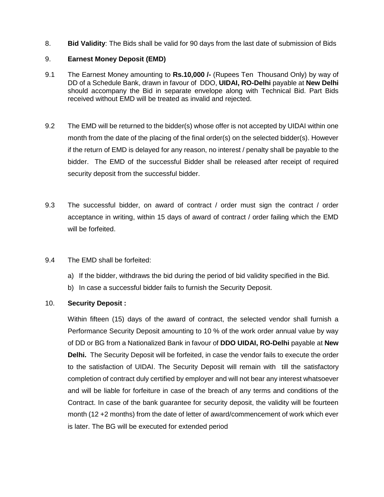8. **Bid Validity**: The Bids shall be valid for 90 days from the last date of submission of Bids

### 9. **Earnest Money Deposit (EMD)**

- 9.1 The Earnest Money amounting to **Rs.10,000 /-** (Rupees Ten Thousand Only) by way of DD of a Schedule Bank, drawn in favour of DDO, **UIDAI, RO-Delhi** payable at **New Delhi** should accompany the Bid in separate envelope along with Technical Bid. Part Bids received without EMD will be treated as invalid and rejected.
- 9.2 The EMD will be returned to the bidder(s) whose offer is not accepted by UIDAI within one month from the date of the placing of the final order(s) on the selected bidder(s). However if the return of EMD is delayed for any reason, no interest / penalty shall be payable to the bidder. The EMD of the successful Bidder shall be released after receipt of required security deposit from the successful bidder.
- 9.3 The successful bidder, on award of contract / order must sign the contract / order acceptance in writing, within 15 days of award of contract / order failing which the EMD will be forfeited.
- 9.4 The EMD shall be forfeited:
	- a) If the bidder, withdraws the bid during the period of bid validity specified in the Bid.
	- b) In case a successful bidder fails to furnish the Security Deposit.

### 10. **Security Deposit :**

Within fifteen (15) days of the award of contract, the selected vendor shall furnish a Performance Security Deposit amounting to 10 % of the work order annual value by way of DD or BG from a Nationalized Bank in favour of **DDO UIDAI, RO-Delhi** payable at **New Delhi.** The Security Deposit will be forfeited, in case the vendor fails to execute the order to the satisfaction of UIDAI. The Security Deposit will remain with till the satisfactory completion of contract duly certified by employer and will not bear any interest whatsoever and will be liable for forfeiture in case of the breach of any terms and conditions of the Contract. In case of the bank guarantee for security deposit, the validity will be fourteen month (12 +2 months) from the date of letter of award/commencement of work which ever is later. The BG will be executed for extended period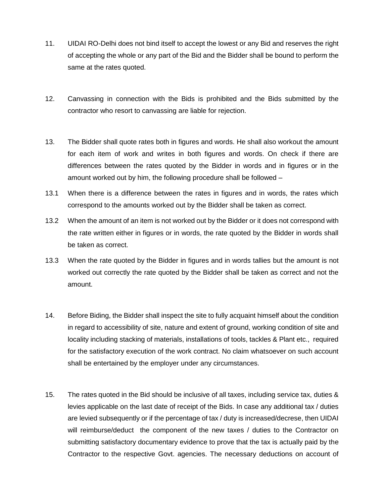- 11. UIDAI RO-Delhi does not bind itself to accept the lowest or any Bid and reserves the right of accepting the whole or any part of the Bid and the Bidder shall be bound to perform the same at the rates quoted.
- 12. Canvassing in connection with the Bids is prohibited and the Bids submitted by the contractor who resort to canvassing are liable for rejection.
- 13. The Bidder shall quote rates both in figures and words. He shall also workout the amount for each item of work and writes in both figures and words. On check if there are differences between the rates quoted by the Bidder in words and in figures or in the amount worked out by him, the following procedure shall be followed –
- 13.1 When there is a difference between the rates in figures and in words, the rates which correspond to the amounts worked out by the Bidder shall be taken as correct.
- 13.2 When the amount of an item is not worked out by the Bidder or it does not correspond with the rate written either in figures or in words, the rate quoted by the Bidder in words shall be taken as correct.
- 13.3 When the rate quoted by the Bidder in figures and in words tallies but the amount is not worked out correctly the rate quoted by the Bidder shall be taken as correct and not the amount.
- 14. Before Biding, the Bidder shall inspect the site to fully acquaint himself about the condition in regard to accessibility of site, nature and extent of ground, working condition of site and locality including stacking of materials, installations of tools, tackles & Plant etc., required for the satisfactory execution of the work contract. No claim whatsoever on such account shall be entertained by the employer under any circumstances.
- 15. The rates quoted in the Bid should be inclusive of all taxes, including service tax, duties & levies applicable on the last date of receipt of the Bids. In case any additional tax / duties are levied subsequently or if the percentage of tax / duty is increased/decrese, then UIDAI will reimburse/deduct the component of the new taxes / duties to the Contractor on submitting satisfactory documentary evidence to prove that the tax is actually paid by the Contractor to the respective Govt. agencies. The necessary deductions on account of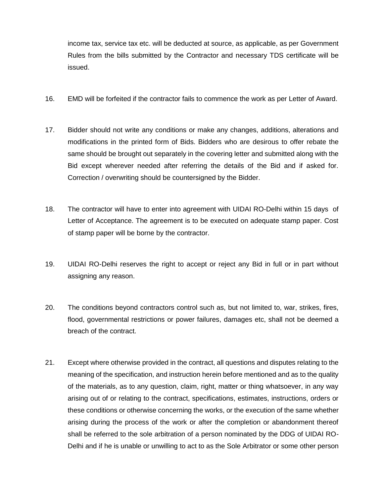income tax, service tax etc. will be deducted at source, as applicable, as per Government Rules from the bills submitted by the Contractor and necessary TDS certificate will be issued.

- 16. EMD will be forfeited if the contractor fails to commence the work as per Letter of Award.
- 17. Bidder should not write any conditions or make any changes, additions, alterations and modifications in the printed form of Bids. Bidders who are desirous to offer rebate the same should be brought out separately in the covering letter and submitted along with the Bid except wherever needed after referring the details of the Bid and if asked for. Correction / overwriting should be countersigned by the Bidder.
- 18. The contractor will have to enter into agreement with UIDAI RO-Delhi within 15 days of Letter of Acceptance. The agreement is to be executed on adequate stamp paper. Cost of stamp paper will be borne by the contractor.
- 19. UIDAI RO-Delhi reserves the right to accept or reject any Bid in full or in part without assigning any reason.
- 20. The conditions beyond contractors control such as, but not limited to, war, strikes, fires, flood, governmental restrictions or power failures, damages etc, shall not be deemed a breach of the contract.
- 21. Except where otherwise provided in the contract, all questions and disputes relating to the meaning of the specification, and instruction herein before mentioned and as to the quality of the materials, as to any question, claim, right, matter or thing whatsoever, in any way arising out of or relating to the contract, specifications, estimates, instructions, orders or these conditions or otherwise concerning the works, or the execution of the same whether arising during the process of the work or after the completion or abandonment thereof shall be referred to the sole arbitration of a person nominated by the DDG of UIDAI RO-Delhi and if he is unable or unwilling to act to as the Sole Arbitrator or some other person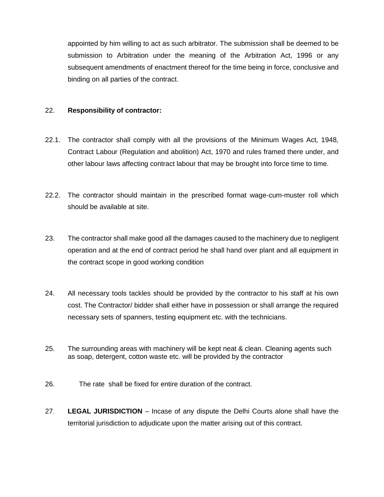appointed by him willing to act as such arbitrator. The submission shall be deemed to be submission to Arbitration under the meaning of the Arbitration Act, 1996 or any subsequent amendments of enactment thereof for the time being in force, conclusive and binding on all parties of the contract.

### 22. **Responsibility of contractor:**

- 22.1. The contractor shall comply with all the provisions of the Minimum Wages Act, 1948, Contract Labour (Regulation and abolition) Act, 1970 and rules framed there under, and other labour laws affecting contract labour that may be brought into force time to time.
- 22.2. The contractor should maintain in the prescribed format wage-cum-muster roll which should be available at site.
- 23. The contractor shall make good all the damages caused to the machinery due to negligent operation and at the end of contract period he shall hand over plant and all equipment in the contract scope in good working condition
- 24. All necessary tools tackles should be provided by the contractor to his staff at his own cost. The Contractor/ bidder shall either have in possession or shall arrange the required necessary sets of spanners, testing equipment etc. with the technicians.
- 25. The surrounding areas with machinery will be kept neat & clean. Cleaning agents such as soap, detergent, cotton waste etc. will be provided by the contractor
- 26. The rate shall be fixed for entire duration of the contract.
- 27. **LEGAL JURISDICTION** Incase of any dispute the Delhi Courts alone shall have the territorial jurisdiction to adjudicate upon the matter arising out of this contract.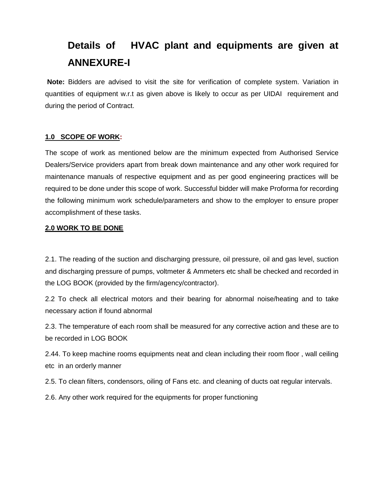# **Details of HVAC plant and equipments are given at ANNEXURE-I**

**Note:** Bidders are advised to visit the site for verification of complete system. Variation in quantities of equipment w.r.t as given above is likely to occur as per UIDAI requirement and during the period of Contract.

# **1.0 SCOPE OF WORK:**

The scope of work as mentioned below are the minimum expected from Authorised Service Dealers/Service providers apart from break down maintenance and any other work required for maintenance manuals of respective equipment and as per good engineering practices will be required to be done under this scope of work. Successful bidder will make Proforma for recording the following minimum work schedule/parameters and show to the employer to ensure proper accomplishment of these tasks.

### **2.0 WORK TO BE DONE**

2.1. The reading of the suction and discharging pressure, oil pressure, oil and gas level, suction and discharging pressure of pumps, voltmeter & Ammeters etc shall be checked and recorded in the LOG BOOK (provided by the firm/agency/contractor).

2.2 To check all electrical motors and their bearing for abnormal noise/heating and to take necessary action if found abnormal

2.3. The temperature of each room shall be measured for any corrective action and these are to be recorded in LOG BOOK

2.44. To keep machine rooms equipments neat and clean including their room floor , wall ceiling etc in an orderly manner

2.5. To clean filters, condensors, oiling of Fans etc. and cleaning of ducts oat regular intervals.

2.6. Any other work required for the equipments for proper functioning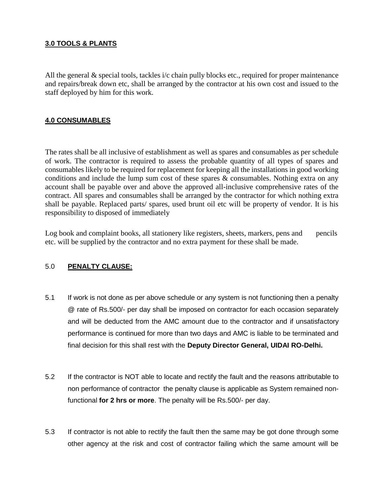### **3.0 TOOLS & PLANTS**

All the general & special tools, tackles i/c chain pully blocks etc., required for proper maintenance and repairs/break down etc, shall be arranged by the contractor at his own cost and issued to the staff deployed by him for this work.

### **4.0 CONSUMABLES**

The rates shall be all inclusive of establishment as well as spares and consumables as per schedule of work. The contractor is required to assess the probable quantity of all types of spares and consumables likely to be required for replacement for keeping all the installations in good working conditions and include the lump sum cost of these spares & consumables. Nothing extra on any account shall be payable over and above the approved all-inclusive comprehensive rates of the contract. All spares and consumables shall be arranged by the contractor for which nothing extra shall be payable. Replaced parts/ spares, used brunt oil etc will be property of vendor. It is his responsibility to disposed of immediately

Log book and complaint books, all stationery like registers, sheets, markers, pens and pencils etc. will be supplied by the contractor and no extra payment for these shall be made.

### 5.0 **PENALTY CLAUSE:**

- 5.1 If work is not done as per above schedule or any system is not functioning then a penalty @ rate of Rs.500/- per day shall be imposed on contractor for each occasion separately and will be deducted from the AMC amount due to the contractor and if unsatisfactory performance is continued for more than two days and AMC is liable to be terminated and final decision for this shall rest with the **Deputy Director General, UIDAI RO-Delhi.**
- 5.2 If the contractor is NOT able to locate and rectify the fault and the reasons attributable to non performance of contractor the penalty clause is applicable as System remained nonfunctional **for 2 hrs or more**. The penalty will be Rs.500/- per day.
- 5.3 If contractor is not able to rectify the fault then the same may be got done through some other agency at the risk and cost of contractor failing which the same amount will be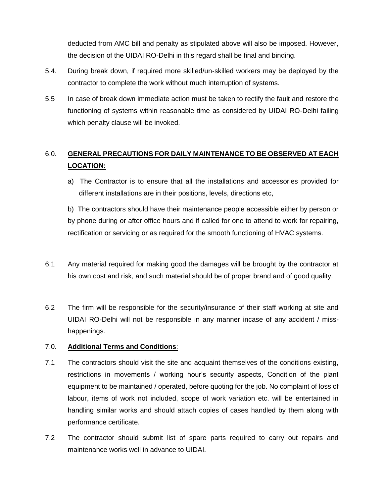deducted from AMC bill and penalty as stipulated above will also be imposed. However, the decision of the UIDAI RO-Delhi in this regard shall be final and binding.

- 5.4. During break down, if required more skilled/un-skilled workers may be deployed by the contractor to complete the work without much interruption of systems.
- 5.5 In case of break down immediate action must be taken to rectify the fault and restore the functioning of systems within reasonable time as considered by UIDAI RO-Delhi failing which penalty clause will be invoked.

# 6.0. **GENERAL PRECAUTIONS FOR DAILY MAINTENANCE TO BE OBSERVED AT EACH LOCATION:**

a) The Contractor is to ensure that all the installations and accessories provided for different installations are in their positions, levels, directions etc,

b) The contractors should have their maintenance people accessible either by person or by phone during or after office hours and if called for one to attend to work for repairing, rectification or servicing or as required for the smooth functioning of HVAC systems.

- 6.1 Any material required for making good the damages will be brought by the contractor at his own cost and risk, and such material should be of proper brand and of good quality.
- 6.2 The firm will be responsible for the security/insurance of their staff working at site and UIDAI RO-Delhi will not be responsible in any manner incase of any accident / misshappenings.

# 7.0. **Additional Terms and Conditions**:

- 7.1 The contractors should visit the site and acquaint themselves of the conditions existing, restrictions in movements / working hour's security aspects, Condition of the plant equipment to be maintained / operated, before quoting for the job. No complaint of loss of labour, items of work not included, scope of work variation etc. will be entertained in handling similar works and should attach copies of cases handled by them along with performance certificate.
- 7.2 The contractor should submit list of spare parts required to carry out repairs and maintenance works well in advance to UIDAI.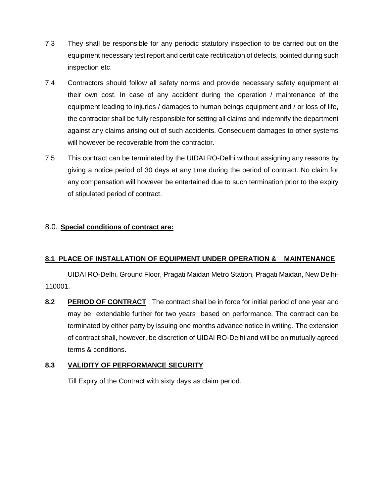- 7.3 They shall be responsible for any periodic statutory inspection to be carried out on the equipment necessary test report and certificate rectification of defects, pointed during such inspection etc.
- 7.4 Contractors should follow all safety norms and provide necessary safety equipment at their own cost. In case of any accident during the operation / maintenance of the equipment leading to injuries / damages to human beings equipment and / or loss of life, the contractor shall be fully responsible for setting all claims and indemnify the department against any claims arising out of such accidents. Consequent damages to other systems will however be recoverable from the contractor.
- 7.5 This contract can be terminated by the UIDAI RO-Delhi without assigning any reasons by giving a notice period of 30 days at any time during the period of contract. No claim for any compensation will however be entertained due to such termination prior to the expiry of stipulated period of contract.

# 8.0. **Special conditions of contract are:**

# **8.1 PLACE OF INSTALLATION OF EQUIPMENT UNDER OPERATION & MAINTENANCE**

UIDAI RO-Delhi, Ground Floor, Pragati Maidan Metro Station, Pragati Maidan, New Delhi-110001.

**8.2 PERIOD OF CONTRACT** : The contract shall be in force for initial period of one year and may be extendable further for two years based on performance. The contract can be terminated by either party by issuing one months advance notice in writing. The extension of contract shall, however, be discretion of UIDAI RO-Delhi and will be on mutually agreed terms & conditions.

# **8.3 VALIDITY OF PERFORMANCE SECURITY**

Till Expiry of the Contract with sixty days as claim period.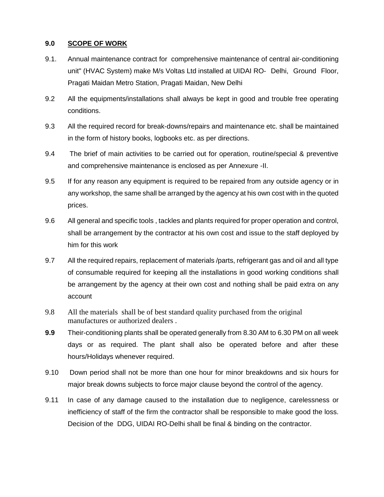### **9.0 SCOPE OF WORK**

- 9.1. Annual maintenance contract for comprehensive maintenance of central air-conditioning unit" (HVAC System) make M/s Voltas Ltd installed at UIDAI RO- Delhi, Ground Floor, Pragati Maidan Metro Station, Pragati Maidan, New Delhi
- 9.2 All the equipments/installations shall always be kept in good and trouble free operating conditions.
- 9.3 All the required record for break-downs/repairs and maintenance etc. shall be maintained in the form of history books, logbooks etc. as per directions.
- 9.4 The brief of main activities to be carried out for operation, routine/special & preventive and comprehensive maintenance is enclosed as per Annexure -II.
- 9.5 If for any reason any equipment is required to be repaired from any outside agency or in any workshop, the same shall be arranged by the agency at his own cost with in the quoted prices.
- 9.6 All general and specific tools , tackles and plants required for proper operation and control, shall be arrangement by the contractor at his own cost and issue to the staff deployed by him for this work
- 9.7 All the required repairs, replacement of materials /parts, refrigerant gas and oil and all type of consumable required for keeping all the installations in good working conditions shall be arrangement by the agency at their own cost and nothing shall be paid extra on any account
- 9.8 All the materials shall be of best standard quality purchased from the original manufactures or authorized dealers .
- **9.9** Their-conditioning plants shall be operated generally from 8.30 AM to 6.30 PM on all week days or as required. The plant shall also be operated before and after these hours/Holidays whenever required.
- 9.10 Down period shall not be more than one hour for minor breakdowns and six hours for major break downs subjects to force major clause beyond the control of the agency.
- 9.11 In case of any damage caused to the installation due to negligence, carelessness or inefficiency of staff of the firm the contractor shall be responsible to make good the loss. Decision of the DDG, UIDAI RO-Delhi shall be final & binding on the contractor.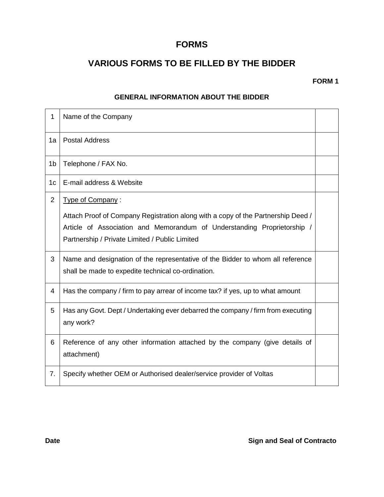# **FORMS**

# **VARIOUS FORMS TO BE FILLED BY THE BIDDER**

**FORM 1**

### **GENERAL INFORMATION ABOUT THE BIDDER**

| $\mathbf{1}$   | Name of the Company                                                                                                                                                                                                               |  |
|----------------|-----------------------------------------------------------------------------------------------------------------------------------------------------------------------------------------------------------------------------------|--|
| 1a             | <b>Postal Address</b>                                                                                                                                                                                                             |  |
| 1 <sub>b</sub> | Telephone / FAX No.                                                                                                                                                                                                               |  |
| 1 <sub>c</sub> | E-mail address & Website                                                                                                                                                                                                          |  |
| 2              | Type of Company:<br>Attach Proof of Company Registration along with a copy of the Partnership Deed /<br>Article of Association and Memorandum of Understanding Proprietorship /<br>Partnership / Private Limited / Public Limited |  |
| 3              | Name and designation of the representative of the Bidder to whom all reference<br>shall be made to expedite technical co-ordination.                                                                                              |  |
| 4              | Has the company / firm to pay arrear of income tax? if yes, up to what amount                                                                                                                                                     |  |
| 5              | Has any Govt. Dept / Undertaking ever debarred the company / firm from executing<br>any work?                                                                                                                                     |  |
| 6              | Reference of any other information attached by the company (give details of<br>attachment)                                                                                                                                        |  |
| 7.             | Specify whether OEM or Authorised dealer/service provider of Voltas                                                                                                                                                               |  |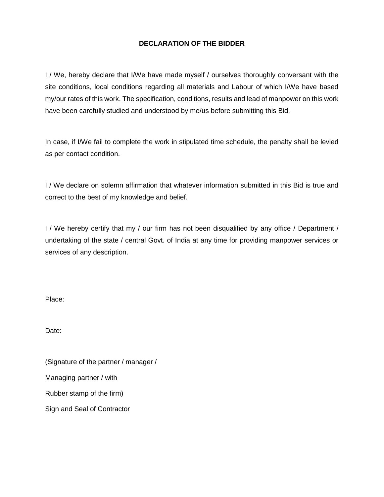# **DECLARATION OF THE BIDDER**

I / We, hereby declare that I/We have made myself / ourselves thoroughly conversant with the site conditions, local conditions regarding all materials and Labour of which I/We have based my/our rates of this work. The specification, conditions, results and lead of manpower on this work have been carefully studied and understood by me/us before submitting this Bid.

In case, if I/We fail to complete the work in stipulated time schedule, the penalty shall be levied as per contact condition.

I / We declare on solemn affirmation that whatever information submitted in this Bid is true and correct to the best of my knowledge and belief.

I / We hereby certify that my / our firm has not been disqualified by any office / Department / undertaking of the state / central Govt. of India at any time for providing manpower services or services of any description.

Place:

Date:

(Signature of the partner / manager / Managing partner / with Rubber stamp of the firm) Sign and Seal of Contractor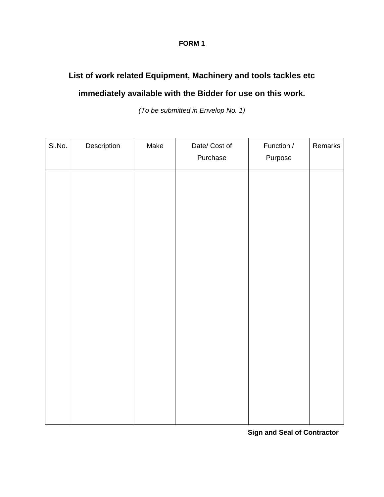# **FORM 1**

# **List of work related Equipment, Machinery and tools tackles etc**

# **immediately available with the Bidder for use on this work.**

*(To be submitted in Envelop No. 1)*

| SI.No. | Description | Make | Date/ Cost of<br>Purchase | Function /<br>Purpose | Remarks |
|--------|-------------|------|---------------------------|-----------------------|---------|
|        |             |      |                           |                       |         |
|        |             |      |                           |                       |         |
|        |             |      |                           |                       |         |
|        |             |      |                           |                       |         |
|        |             |      |                           |                       |         |
|        |             |      |                           |                       |         |
|        |             |      |                           |                       |         |
|        |             |      |                           |                       |         |
|        |             |      |                           |                       |         |

**Sign and Seal of Contractor**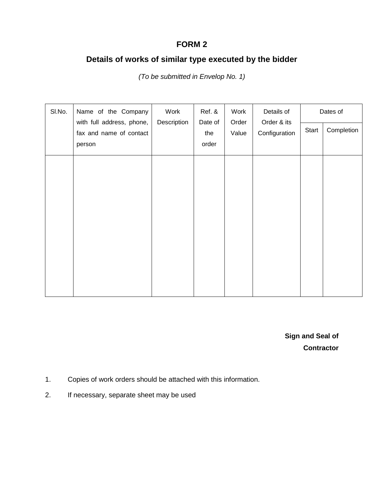# **FORM 2**

# **Details of works of similar type executed by the bidder**

SI.No. Name of the Company with full address, phone, fax and name of contact person Work **Description** Ref. & Date of the order Work Order Value Details of Order & its **Configuration** Dates of Start | Completion

*(To be submitted in Envelop No. 1)*

**Sign and Seal of Contractor**

- 1. Copies of work orders should be attached with this information.
- 2. If necessary, separate sheet may be used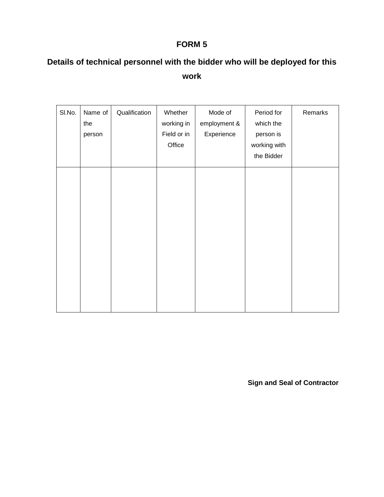# **FORM 5**

# **Details of technical personnel with the bidder who will be deployed for this work**

| SI.No. | Name of | Qualification | Whether     | Mode of      | Period for   | Remarks |
|--------|---------|---------------|-------------|--------------|--------------|---------|
|        | the     |               | working in  | employment & | which the    |         |
|        | person  |               | Field or in | Experience   | person is    |         |
|        |         |               | Office      |              | working with |         |
|        |         |               |             |              | the Bidder   |         |
|        |         |               |             |              |              |         |
|        |         |               |             |              |              |         |
|        |         |               |             |              |              |         |
|        |         |               |             |              |              |         |
|        |         |               |             |              |              |         |
|        |         |               |             |              |              |         |
|        |         |               |             |              |              |         |
|        |         |               |             |              |              |         |
|        |         |               |             |              |              |         |
|        |         |               |             |              |              |         |

**Sign and Seal of Contractor**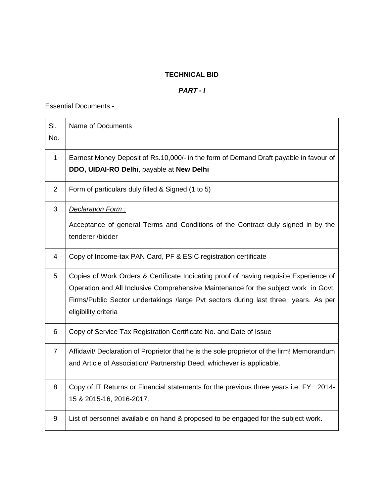# **TECHNICAL BID**

# *PART - I*

Essential Documents:-

| SI.<br>No.     | Name of Documents                                                                                                                                                                                                                                                                            |
|----------------|----------------------------------------------------------------------------------------------------------------------------------------------------------------------------------------------------------------------------------------------------------------------------------------------|
| $\mathbf 1$    | Earnest Money Deposit of Rs.10,000/- in the form of Demand Draft payable in favour of<br>DDO, UIDAI-RO Delhi, payable at New Delhi                                                                                                                                                           |
| $\overline{2}$ | Form of particulars duly filled & Signed (1 to 5)                                                                                                                                                                                                                                            |
| $\mathfrak{B}$ | Declaration Form:<br>Acceptance of general Terms and Conditions of the Contract duly signed in by the<br>tenderer /bidder                                                                                                                                                                    |
| 4              | Copy of Income-tax PAN Card, PF & ESIC registration certificate                                                                                                                                                                                                                              |
| 5              | Copies of Work Orders & Certificate Indicating proof of having requisite Experience of<br>Operation and All Inclusive Comprehensive Maintenance for the subject work in Govt.<br>Firms/Public Sector undertakings /large Pvt sectors during last three years. As per<br>eligibility criteria |
| 6              | Copy of Service Tax Registration Certificate No. and Date of Issue                                                                                                                                                                                                                           |
| $\overline{7}$ | Affidavit/ Declaration of Proprietor that he is the sole proprietor of the firm! Memorandum<br>and Article of Association/ Partnership Deed, whichever is applicable.                                                                                                                        |
| 8              | Copy of IT Returns or Financial statements for the previous three years i.e. FY: 2014-<br>15 & 2015-16, 2016-2017.                                                                                                                                                                           |
| 9              | List of personnel available on hand & proposed to be engaged for the subject work.                                                                                                                                                                                                           |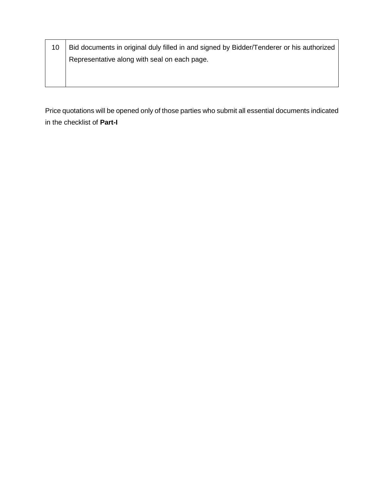| 10 | Bid documents in original duly filled in and signed by Bidder/Tenderer or his authorized |
|----|------------------------------------------------------------------------------------------|
|    | Representative along with seal on each page.                                             |
|    |                                                                                          |
|    |                                                                                          |

Price quotations will be opened only of those parties who submit all essential documents indicated in the checklist of **Part-I**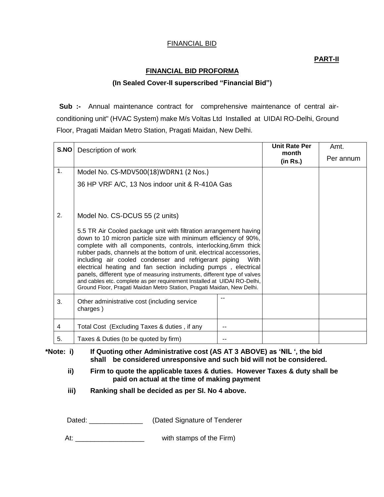# FINANCIAL BID

## **PART-II**

#### **FINANCIAL BID PROFORMA**

#### **(In Sealed Cover-II superscribed "Financial Bid")**

**Sub :-** Annual maintenance contract for comprehensive maintenance of central airconditioning unit" (HVAC System) make M/s Voltas Ltd Installed at UIDAI RO-Delhi, Ground Floor, Pragati Maidan Metro Station, Pragati Maidan, New Delhi.

| S.NO | Description of work                                                                                                                                                                                                                                                                                                                                                                                                                                                                                                                                                                                                                           |      | <b>Unit Rate Per</b><br>month<br>(in Rs.) | Amt.<br>Per annum |
|------|-----------------------------------------------------------------------------------------------------------------------------------------------------------------------------------------------------------------------------------------------------------------------------------------------------------------------------------------------------------------------------------------------------------------------------------------------------------------------------------------------------------------------------------------------------------------------------------------------------------------------------------------------|------|-------------------------------------------|-------------------|
| 1.   | Model No. CS-MDV500(18)WDRN1 (2 Nos.)                                                                                                                                                                                                                                                                                                                                                                                                                                                                                                                                                                                                         |      |                                           |                   |
|      | 36 HP VRF A/C, 13 Nos indoor unit & R-410A Gas                                                                                                                                                                                                                                                                                                                                                                                                                                                                                                                                                                                                |      |                                           |                   |
| 2.   | Model No. CS-DCUS 55 (2 units)                                                                                                                                                                                                                                                                                                                                                                                                                                                                                                                                                                                                                |      |                                           |                   |
|      | 5.5 TR Air Cooled package unit with filtration arrangement having<br>down to 10 micron particle size with minimum efficiency of 90%,<br>complete with all components, controls, interlocking, 6mm thick<br>rubber pads, channels at the bottom of unit. electrical accessories,<br>including air cooled condenser and refrigerant piping<br>electrical heating and fan section including pumps, electrical<br>panels, different type of measuring instruments, different type of valves<br>and cables etc. complete as per requirement Installed at UIDAI RO-Delhi,<br>Ground Floor, Pragati Maidan Metro Station, Pragati Maidan, New Delhi. | With |                                           |                   |
| 3.   | Other administrative cost (including service<br>charges)                                                                                                                                                                                                                                                                                                                                                                                                                                                                                                                                                                                      | --   |                                           |                   |
| 4    | Total Cost (Excluding Taxes & duties, if any                                                                                                                                                                                                                                                                                                                                                                                                                                                                                                                                                                                                  |      |                                           |                   |
| 5.   | Taxes & Duties (to be quoted by firm)                                                                                                                                                                                                                                                                                                                                                                                                                                                                                                                                                                                                         |      |                                           |                   |

**\*Note: i) If Quoting other Administrative cost (AS AT 3 ABOVE) as 'NIL ', the bid shall be considered unresponsive and such bid will not be considered.**

- **ii) Firm to quote the applicable taxes & duties. However Taxes & duty shall be paid on actual at the time of making payment**
- **iii) Ranking shall be decided as per SI. No 4 above.**

Dated: \_\_\_\_\_\_\_\_\_\_\_\_\_\_\_\_\_ (Dated Signature of Tenderer

At: \_\_\_\_\_\_\_\_\_\_\_\_\_\_\_\_\_\_\_\_\_\_\_\_\_\_ with stamps of the Firm)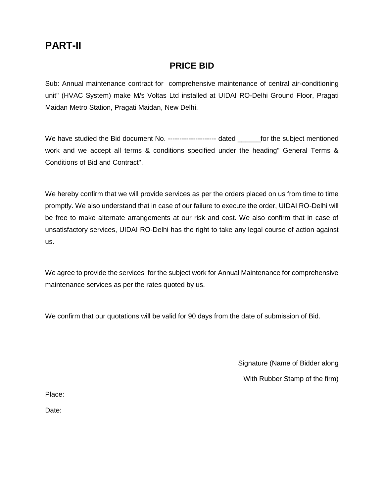# **PART-II**

# **PRICE BID**

Sub: Annual maintenance contract for comprehensive maintenance of central air-conditioning unit" (HVAC System) make M/s Voltas Ltd installed at UIDAI RO-Delhi Ground Floor, Pragati Maidan Metro Station, Pragati Maidan, New Delhi.

We have studied the Bid document No. ----------------------- dated for the subject mentioned work and we accept all terms & conditions specified under the heading" General Terms & Conditions of Bid and Contract".

We hereby confirm that we will provide services as per the orders placed on us from time to time promptly. We also understand that in case of our failure to execute the order, UIDAI RO-Delhi will be free to make alternate arrangements at our risk and cost. We also confirm that in case of unsatisfactory services, UIDAI RO-Delhi has the right to take any legal course of action against us.

We agree to provide the services for the subject work for Annual Maintenance for comprehensive maintenance services as per the rates quoted by us.

We confirm that our quotations will be valid for 90 days from the date of submission of Bid.

Signature (Name of Bidder along

With Rubber Stamp of the firm)

Place:

Date: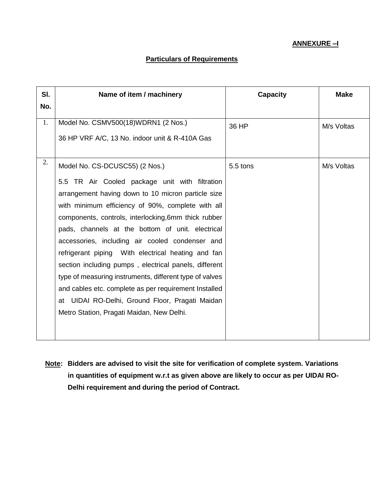# **Particulars of Requirements**

| SI. | Name of item / machinery                                | <b>Capacity</b> | <b>Make</b> |
|-----|---------------------------------------------------------|-----------------|-------------|
| No. |                                                         |                 |             |
| 1.  | Model No. CSMV500(18)WDRN1 (2 Nos.)                     | 36 HP           | M/s Voltas  |
|     | 36 HP VRF A/C, 13 No. indoor unit & R-410A Gas          |                 |             |
| 2.  | Model No. CS-DCUSC55) (2 Nos.)                          | 5.5 tons        | M/s Voltas  |
|     | 5.5 TR Air Cooled package unit with filtration          |                 |             |
|     | arrangement having down to 10 micron particle size      |                 |             |
|     | with minimum efficiency of 90%, complete with all       |                 |             |
|     | components, controls, interlocking, 6mm thick rubber    |                 |             |
|     | pads, channels at the bottom of unit. electrical        |                 |             |
|     | accessories, including air cooled condenser and         |                 |             |
|     | refrigerant piping With electrical heating and fan      |                 |             |
|     | section including pumps, electrical panels, different   |                 |             |
|     | type of measuring instruments, different type of valves |                 |             |
|     | and cables etc. complete as per requirement Installed   |                 |             |
|     | at UIDAI RO-Delhi, Ground Floor, Pragati Maidan         |                 |             |
|     | Metro Station, Pragati Maidan, New Delhi.               |                 |             |
|     |                                                         |                 |             |
|     |                                                         |                 |             |

**Note: Bidders are advised to visit the site for verification of complete system. Variations in quantities of equipment w.r.t as given above are likely to occur as per UIDAI RO-Delhi requirement and during the period of Contract.**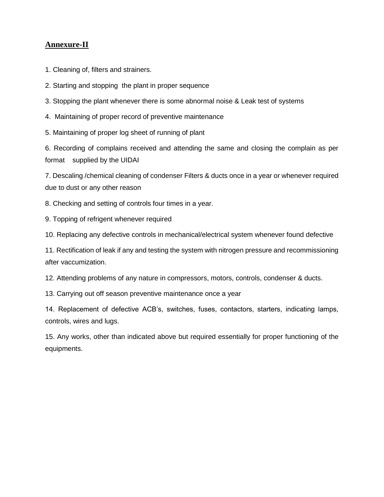# **Annexure-II**

1. Cleaning of, filters and strainers.

2. Starting and stopping the plant in proper sequence

3. Stopping the plant whenever there is some abnormal noise & Leak test of systems

4. Maintaining of proper record of preventive maintenance

5. Maintaining of proper log sheet of running of plant

6. Recording of complains received and attending the same and closing the complain as per format supplied by the UIDAI

7. Descaling /chemical cleaning of condenser Filters & ducts once in a year or whenever required due to dust or any other reason

8. Checking and setting of controls four times in a year.

9. Topping of refrigent whenever required

10. Replacing any defective controls in mechanical/electrical system whenever found defective

11. Rectification of leak if any and testing the system with nitrogen pressure and recommissioning after vaccumization.

12. Attending problems of any nature in compressors, motors, controls, condenser & ducts.

13. Carrying out off season preventive maintenance once a year

14. Replacement of defective ACB's, switches, fuses, contactors, starters, indicating lamps, controls, wires and lugs.

15. Any works, other than indicated above but required essentially for proper functioning of the equipments.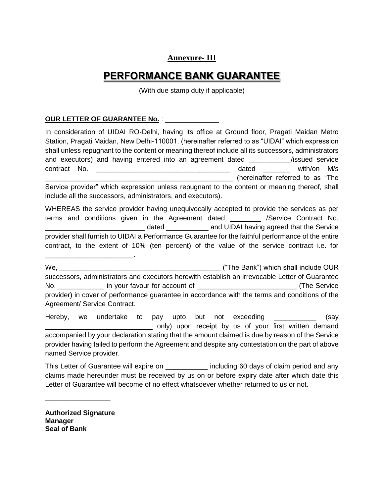# **Annexure- III**

# **PERFORMANCE BANK GUARANTEE**

(With due stamp duty if applicable)

### **OUR LETTER OF GUARANTEE No.** : \_\_\_\_\_\_\_\_\_\_\_\_\_\_

In consideration of UIDAI RO-Delhi, having its office at Ground floor, Pragati Maidan Metro Station, Pragati Maidan, New Delhi-110001. (hereinafter referred to as "UIDAI" which expression shall unless repugnant to the content or meaning thereof include all its successors, administrators and executors) and having entered into an agreement dated \_\_\_\_\_\_\_\_\_\_\_/issued service contract No. **Example 20** and the contract No. \_\_\_\_\_\_\_\_\_\_\_\_\_\_\_\_\_\_\_\_\_\_\_\_\_\_\_\_\_\_\_\_\_\_\_\_\_\_\_\_\_\_\_\_\_\_\_\_\_ (hereinafter referred to as "The Service provider" which expression unless repugnant to the content or meaning thereof, shall include all the successors, administrators, and executors).

WHEREAS the service provider having unequivocally accepted to provide the services as per terms and conditions given in the Agreement dated **by** *Agreement* /Service Contract No. dated \_\_\_\_\_\_\_\_\_\_\_\_\_\_\_\_ and UIDAI having agreed that the Service provider shall furnish to UIDAI a Performance Guarantee for the faithful performance of the entire contract, to the extent of 10% (ten percent) of the value of the service contract i.e. for

We, which shall include OUR successors, administrators and executors herewith establish an irrevocable Letter of Guarantee No. \_\_\_\_\_\_\_\_\_\_\_\_\_\_\_ in your favour for account of \_\_\_\_\_\_\_\_\_\_\_\_\_\_\_\_\_\_\_\_\_\_\_\_\_\_\_\_\_\_\_(The Service provider) in cover of performance guarantee in accordance with the terms and conditions of the Agreement/ Service Contract.

Hereby, we undertake to pay upto but not exceeding \_\_\_\_\_\_\_\_\_\_\_ (say only) upon receipt by us of your first written demand accompanied by your declaration stating that the amount claimed is due by reason of the Service provider having failed to perform the Agreement and despite any contestation on the part of above named Service provider.

This Letter of Guarantee will expire on \_\_\_\_\_\_\_\_\_\_\_\_\_ including 60 days of claim period and any claims made hereunder must be received by us on or before expiry date after which date this Letter of Guarantee will become of no effect whatsoever whether returned to us or not.

**Authorized Signature Manager Seal of Bank**

\_\_\_\_\_\_\_\_\_\_\_\_\_\_\_\_\_

\_\_\_\_\_\_\_\_\_\_\_\_\_\_\_\_\_\_\_\_\_\_\_.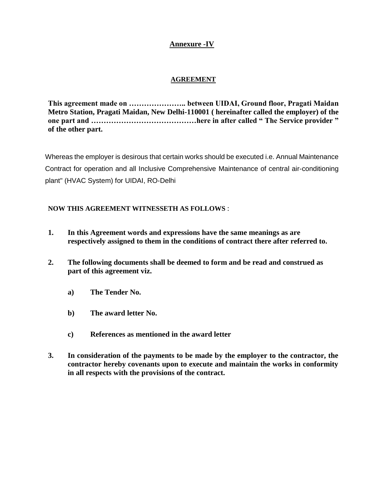# **Annexure -IV**

# **AGREEMENT**

**This agreement made on ………………….. between UIDAI, Ground floor, Pragati Maidan Metro Station, Pragati Maidan, New Delhi-110001 ( hereinafter called the employer) of the one part and ……………………………………here in after called " The Service provider " of the other part.**

Whereas the employer is desirous that certain works should be executed i.e. Annual Maintenance Contract for operation and all Inclusive Comprehensive Maintenance of central air-conditioning plant" (HVAC System) for UIDAI, RO-Delhi

# **NOW THIS AGREEMENT WITNESSETH AS FOLLOWS** :

- **1. In this Agreement words and expressions have the same meanings as are respectively assigned to them in the conditions of contract there after referred to.**
- **2. The following documents shall be deemed to form and be read and construed as part of this agreement viz.**
	- **a) The Tender No.**
	- **b) The award letter No.**
	- **c) References as mentioned in the award letter**
- **3. In consideration of the payments to be made by the employer to the contractor, the contractor hereby covenants upon to execute and maintain the works in conformity in all respects with the provisions of the contract.**